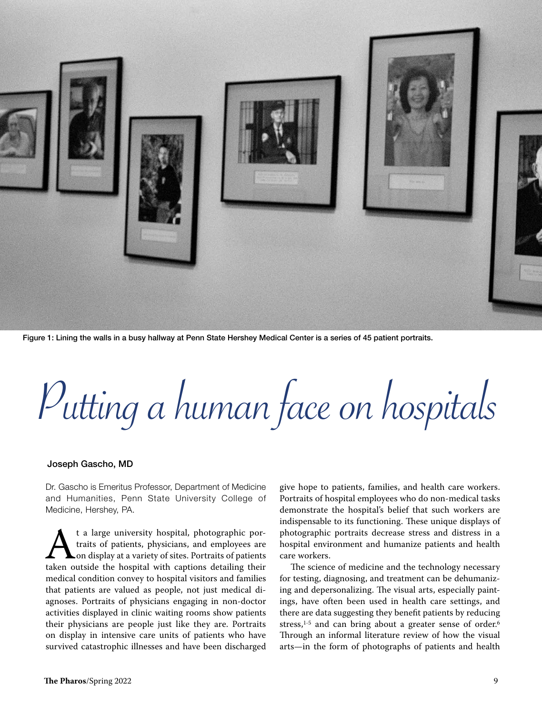

Figure 1: Lining the walls in a busy hallway at Penn State Hershey Medical Center is a series of 45 patient portraits.

Putting a human face on hospitals

## Joseph Gascho, MD

Dr. Gascho is Emeritus Professor, Department of Medicine and Humanities, Penn State University College of Medicine, Hershey, PA.

t a large university hospital, photographic por-<br>traits of patients, physicians, and employees are<br>taken outside the hospital with captions detailing their t a large university hospital, photographic portraits of patients, physicians, and employees are **L**on display at a variety of sites. Portraits of patients medical condition convey to hospital visitors and families that patients are valued as people, not just medical diagnoses. Portraits of physicians engaging in non-doctor activities displayed in clinic waiting rooms show patients their physicians are people just like they are. Portraits on display in intensive care units of patients who have survived catastrophic illnesses and have been discharged give hope to patients, families, and health care workers. Portraits of hospital employees who do non-medical tasks demonstrate the hospital's belief that such workers are indispensable to its functioning. These unique displays of photographic portraits decrease stress and distress in a hospital environment and humanize patients and health care workers.

The science of medicine and the technology necessary for testing, diagnosing, and treatment can be dehumanizing and depersonalizing. The visual arts, especially paintings, have often been used in health care settings, and there are data suggesting they benefit patients by reducing stress,<sup>1-5</sup> and can bring about a greater sense of order.<sup>6</sup> Through an informal literature review of how the visual arts—in the form of photographs of patients and health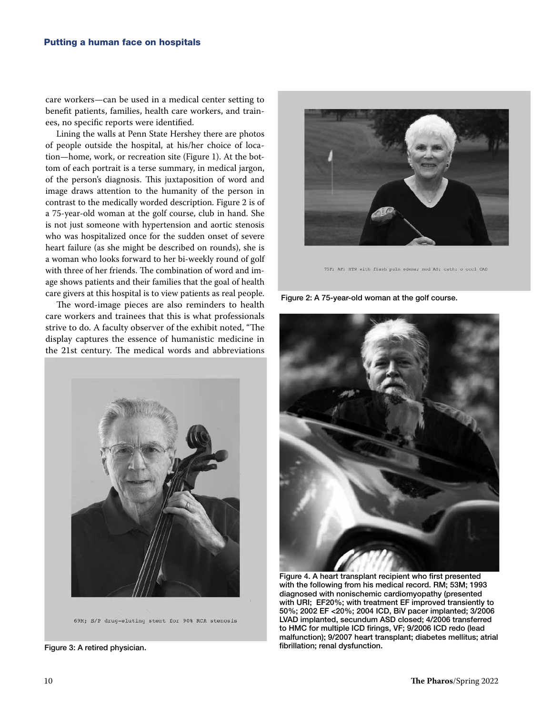care workers—can be used in a medical center setting to benefit patients, families, health care workers, and trainees, no specific reports were identified.

Lining the walls at Penn State Hershey there are photos of people outside the hospital, at his/her choice of location—home, work, or recreation site (Figure 1). At the bottom of each portrait is a terse summary, in medical jargon, of the person's diagnosis. This juxtaposition of word and image draws attention to the humanity of the person in contrast to the medically worded description. Figure 2 is of a 75-year-old woman at the golf course, club in hand. She is not just someone with hypertension and aortic stenosis who was hospitalized once for the sudden onset of severe heart failure (as she might be described on rounds), she is a woman who looks forward to her bi-weekly round of golf with three of her friends. The combination of word and image shows patients and their families that the goal of health care givers at this hospital is to view patients as real people.

The word-image pieces are also reminders to health care workers and trainees that this is what professionals strive to do. A faculty observer of the exhibit noted, "The display captures the essence of humanistic medicine in the 21st century. The medical words and abbreviations



69M; S/P drug-eluting stent for 90% RCA stenosis

Figure 3: A retired physician.



75F; AF; HTN with flash pulm edema; mod AS; cath: o occl CAD

Figure 2: A 75-year-old woman at the golf course.



Figure 4. A heart transplant recipient who first presented with the following from his medical record. RM; 53M; 1993 diagnosed with nonischemic cardiomyopathy (presented with URI; EF20%; with treatment EF improved transiently to 50%; 2002 EF <20%; 2004 ICD, BiV pacer implanted; 3/2006 LVAD implanted, secundum ASD closed; 4/2006 transferred to HMC for multiple ICD firings, VF; 9/2006 ICD redo (lead malfunction); 9/2007 heart transplant; diabetes mellitus; atrial fibrillation; renal dysfunction.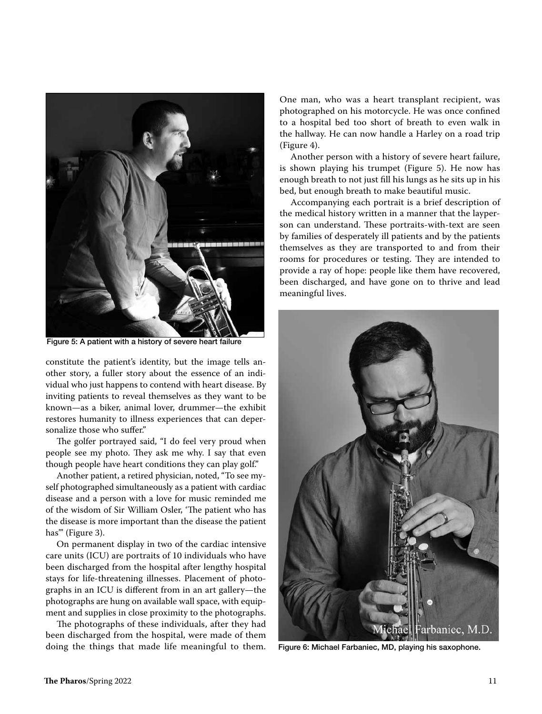

Figure 5: A patient with a history of severe heart failure

constitute the patient's identity, but the image tells another story, a fuller story about the essence of an individual who just happens to contend with heart disease. By inviting patients to reveal themselves as they want to be known—as a biker, animal lover, drummer—the exhibit restores humanity to illness experiences that can depersonalize those who suffer."

The golfer portrayed said, "I do feel very proud when people see my photo. They ask me why. I say that even though people have heart conditions they can play golf."

Another patient, a retired physician, noted, "To see myself photographed simultaneously as a patient with cardiac disease and a person with a love for music reminded me of the wisdom of Sir William Osler, 'The patient who has the disease is more important than the disease the patient has"' (Figure 3).

On permanent display in two of the cardiac intensive care units (ICU) are portraits of 10 individuals who have been discharged from the hospital after lengthy hospital stays for life-threatening illnesses. Placement of photographs in an ICU is different from in an art gallery—the photographs are hung on available wall space, with equipment and supplies in close proximity to the photographs.

The photographs of these individuals, after they had been discharged from the hospital, were made of them doing the things that made life meaningful to them. One man, who was a heart transplant recipient, was photographed on his motorcycle. He was once confined to a hospital bed too short of breath to even walk in the hallway. He can now handle a Harley on a road trip (Figure 4).

Another person with a history of severe heart failure, is shown playing his trumpet (Figure 5). He now has enough breath to not just fill his lungs as he sits up in his bed, but enough breath to make beautiful music.

Accompanying each portrait is a brief description of the medical history written in a manner that the layperson can understand. These portraits-with-text are seen by families of desperately ill patients and by the patients themselves as they are transported to and from their rooms for procedures or testing. They are intended to provide a ray of hope: people like them have recovered, been discharged, and have gone on to thrive and lead meaningful lives.



Figure 6: Michael Farbaniec, MD, playing his saxophone.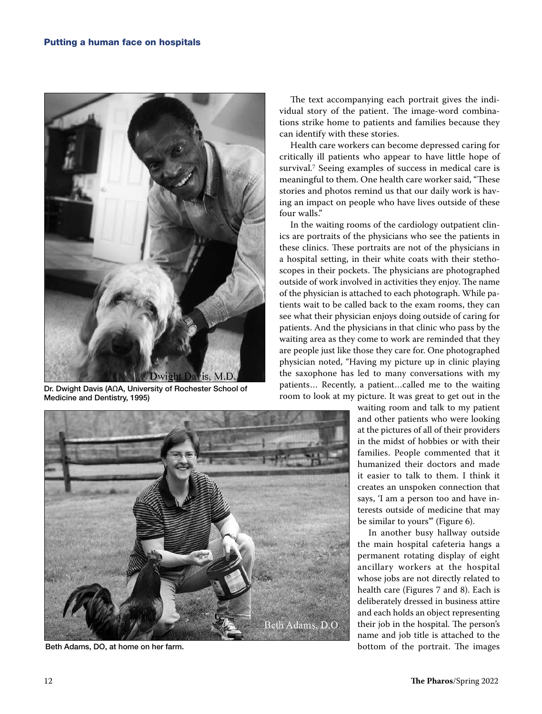

Dr. Dwight Davis (AΩA, University of Rochester School of Medicine and Dentistry, 1995)



The text accompanying each portrait gives the individual story of the patient. The image-word combinations strike home to patients and families because they can identify with these stories.

Health care workers can become depressed caring for critically ill patients who appear to have little hope of survival.<sup>7</sup> Seeing examples of success in medical care is meaningful to them. One health care worker said, "These stories and photos remind us that our daily work is having an impact on people who have lives outside of these four walls."

In the waiting rooms of the cardiology outpatient clinics are portraits of the physicians who see the patients in these clinics. These portraits are not of the physicians in a hospital setting, in their white coats with their stethoscopes in their pockets. The physicians are photographed outside of work involved in activities they enjoy. The name of the physician is attached to each photograph. While patients wait to be called back to the exam rooms, they can see what their physician enjoys doing outside of caring for patients. And the physicians in that clinic who pass by the waiting area as they come to work are reminded that they are people just like those they care for. One photographed physician noted, "Having my picture up in clinic playing the saxophone has led to many conversations with my patients… Recently, a patient…called me to the waiting room to look at my picture. It was great to get out in the

> waiting room and talk to my patient and other patients who were looking at the pictures of all of their providers in the midst of hobbies or with their families. People commented that it humanized their doctors and made it easier to talk to them. I think it creates an unspoken connection that says, 'I am a person too and have interests outside of medicine that may be similar to yours'" (Figure 6).

In another busy hallway outside the main hospital cafeteria hangs a permanent rotating display of eight ancillary workers at the hospital whose jobs are not directly related to health care (Figures 7 and 8). Each is deliberately dressed in business attire and each holds an object representing their job in the hospital. The person's name and job title is attached to the Beth Adams, DO, at home on her farm. bottom of the portrait. The images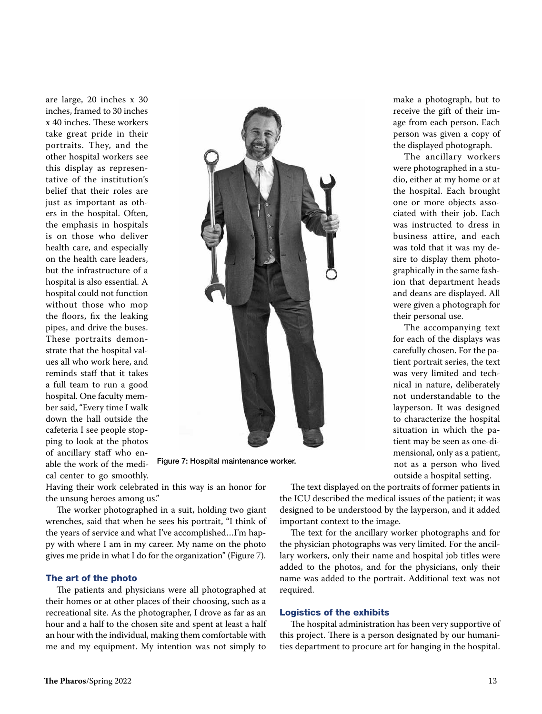are large, 20 inches x 30 inches, framed to 30 inches x 40 inches. These workers take great pride in their portraits. They, and the other hospital workers see this display as representative of the institution's belief that their roles are just as important as others in the hospital. Often, the emphasis in hospitals is on those who deliver health care, and especially on the health care leaders, but the infrastructure of a hospital is also essential. A hospital could not function without those who mop the floors, fix the leaking pipes, and drive the buses. These portraits demonstrate that the hospital values all who work here, and reminds staff that it takes a full team to run a good hospital. One faculty member said, "Every time I walk down the hall outside the cafeteria I see people stopping to look at the photos of ancillary staff who enable the work of the medical center to go smoothly.



Figure 7: Hospital maintenance worker.

Having their work celebrated in this way is an honor for the unsung heroes among us."

The worker photographed in a suit, holding two giant wrenches, said that when he sees his portrait, "I think of the years of service and what I've accomplished…I'm happy with where I am in my career. My name on the photo gives me pride in what I do for the organization" (Figure 7).

## The art of the photo

The patients and physicians were all photographed at their homes or at other places of their choosing, such as a recreational site. As the photographer, I drove as far as an hour and a half to the chosen site and spent at least a half an hour with the individual, making them comfortable with me and my equipment. My intention was not simply to

make a photograph, but to receive the gift of their image from each person. Each person was given a copy of the displayed photograph.

The ancillary workers were photographed in a studio, either at my home or at the hospital. Each brought one or more objects associated with their job. Each was instructed to dress in business attire, and each was told that it was my desire to display them photographically in the same fashion that department heads and deans are displayed. All were given a photograph for their personal use.

The accompanying text for each of the displays was carefully chosen. For the patient portrait series, the text was very limited and technical in nature, deliberately not understandable to the layperson. It was designed to characterize the hospital situation in which the patient may be seen as one-dimensional, only as a patient, not as a person who lived outside a hospital setting.

The text displayed on the portraits of former patients in the ICU described the medical issues of the patient; it was designed to be understood by the layperson, and it added important context to the image.

The text for the ancillary worker photographs and for the physician photographs was very limited. For the ancillary workers, only their name and hospital job titles were added to the photos, and for the physicians, only their name was added to the portrait. Additional text was not required.

## Logistics of the exhibits

The hospital administration has been very supportive of this project. There is a person designated by our humanities department to procure art for hanging in the hospital.